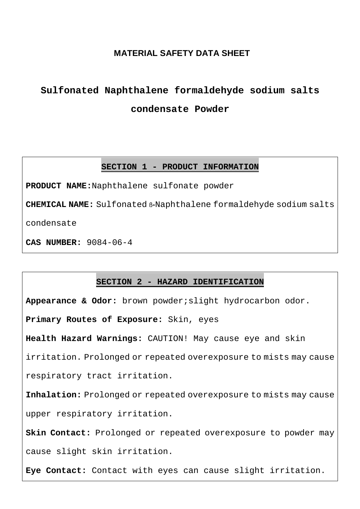# **MATERIAL SAFETY DATA SHEET**

# **Sulfonated Naphthalene formaldehyde sodium salts condensate Powder**

## **SECTION 1 - PRODUCT INFORMATION**

**PRODUCT NAME:**Naphthalene sulfonate powder

**CHEMICAL NAME:** Sulfonated ß-Naphthalene formaldehyde sodium salts

condensate

**CAS NUMBER:** 9084-06-4

# **SECTION 2 - HAZARD IDENTIFICATION**

**Appearance & Odor:** brown powder;slight hydrocarbon odor. **Primary Routes of Exposure:** Skin, eyes **Health Hazard Warnings:** CAUTION! May cause eye and skin irritation. Prolonged or repeated overexposure to mists may cause respiratory tract irritation. **Inhalation:** Prolonged or repeated overexposure to mists may cause upper respiratory irritation. **Skin Contact:** Prolonged or repeated overexposure to powder may cause slight skin irritation. **Eye Contact:** Contact with eyes can cause slight irritation.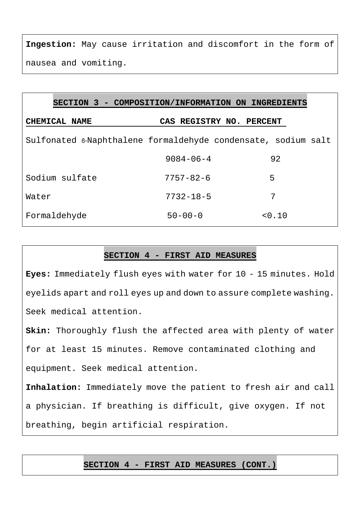**Ingestion:** May cause irritation and discomfort in the form of nausea and vomiting.

| SECTION 3 - COMPOSITION/INFORMATION ON INGREDIENTS            |                          |        |
|---------------------------------------------------------------|--------------------------|--------|
| CHEMICAL NAME                                                 | CAS REGISTRY NO. PERCENT |        |
| Sulfonated B-Naphthalene formaldehyde condensate, sodium salt |                          |        |
|                                                               | $9084 - 06 - 4$          | 92     |
| Sodium sulfate                                                | $7757 - 82 - 6$          | 5      |
| Water                                                         | $7732 - 18 - 5$          | 7      |
| Formaldehyde                                                  | $50 - 00 - 0$            | < 0.10 |

# **SECTION 4 - FIRST AID MEASURES**

**Eyes:** Immediately flush eyes with water for 10 - 15 minutes. Hold eyelids apart and roll eyes up and down to assure complete washing. Seek medical attention.

**Skin:** Thoroughly flush the affected area with plenty of water for at least 15 minutes. Remove contaminated clothing and equipment. Seek medical attention.

**Inhalation:** Immediately move the patient to fresh air and call a physician. If breathing is difficult, give oxygen. If not

breathing, begin artificial respiration.

# **SECTION 4 - FIRST AID MEASURES (CONT.)**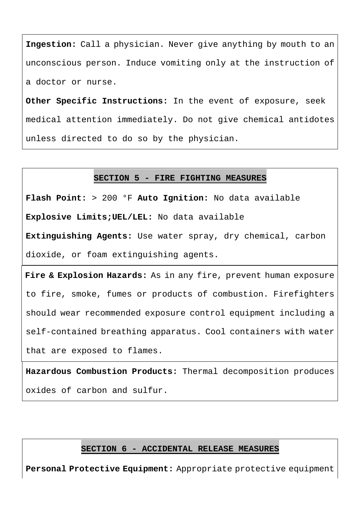**Ingestion:** Call a physician. Never give anything by mouth to an unconscious person. Induce vomiting only at the instruction of a doctor or nurse.

**Other Specific Instructions:** In the event of exposure, seek medical attention immediately. Do not give chemical antidotes unless directed to do so by the physician.

## **SECTION 5 - FIRE FIGHTING MEASURES**

**Flash Point:** > 200 °F **Auto Ignition:** No data available

**Explosive Limits;UEL/LEL:** No data available

**Extinguishing Agents:** Use water spray, dry chemical, carbon dioxide, or foam extinguishing agents.

**Fire & Explosion Hazards:** As in any fire, prevent human exposure to fire, smoke, fumes or products of combustion. Firefighters should wear recommended exposure control equipment including a self-contained breathing apparatus. Cool containers with water that are exposed to flames.

**Hazardous Combustion Products:** Thermal decomposition produces oxides of carbon and sulfur.

## **SECTION 6 - ACCIDENTAL RELEASE MEASURES**

**Personal Protective Equipment:** Appropriate protective equipment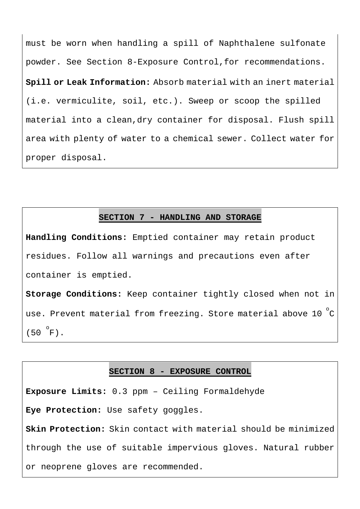must be worn when handling a spill of Naphthalene sulfonate powder. See Section 8-Exposure Control,for recommendations. **Spill or Leak Information:** Absorb material with an inert material (i.e. vermiculite, soil, etc.). Sweep or scoop the spilled material into a clean,dry container for disposal. Flush spill area with plenty of water to a chemical sewer. Collect water for proper disposal.

#### **SECTION 7 - HANDLING AND STORAGE**

**Handling Conditions:** Emptied container may retain product residues. Follow all warnings and precautions even after container is emptied.

**Storage Conditions:** Keep container tightly closed when not in use. Prevent material from freezing. Store material above 10  $^{\circ}\textrm{C}$   $\overline{\phantom{a}}$  $(50 \degree F)$ .

#### **SECTION 8 - EXPOSURE CONTROL**

**Exposure Limits:** 0.3 ppm – Ceiling Formaldehyde **Eye Protection:** Use safety goggles. **Skin Protection:** Skin contact with material should be minimized through the use of suitable impervious gloves. Natural rubber or neoprene gloves are recommended.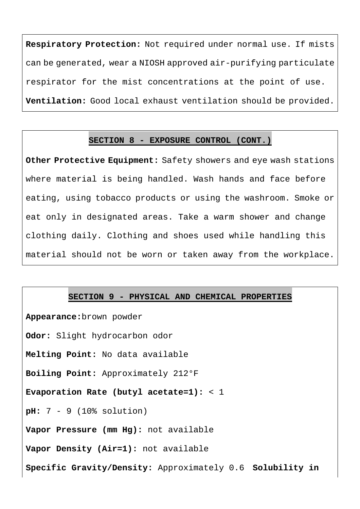**Respiratory Protection:** Not required under normal use. If mists can be generated, wear a NIOSH approved air-purifying particulate respirator for the mist concentrations at the point of use. **Ventilation:** Good local exhaust ventilation should be provided.

## **SECTION 8 - EXPOSURE CONTROL (CONT.)**

**Other Protective Equipment:** Safety showers and eye wash stations where material is being handled. Wash hands and face before eating, using tobacco products or using the washroom. Smoke or eat only in designated areas. Take a warm shower and change clothing daily. Clothing and shoes used while handling this material should not be worn or taken away from the workplace.

## **SECTION 9 - PHYSICAL AND CHEMICAL PROPERTIES**

**Appearance:**brown powder **Odor:** Slight hydrocarbon odor **Melting Point:** No data available **Boiling Point:** Approximately 212°F **Evaporation Rate (butyl acetate=1):** < 1 **pH:** 7 - 9 (10% solution) **Vapor Pressure (mm Hg):** not available **Vapor Density (Air=1):** not available **Specific Gravity/Density:** Approximately 0.6 **Solubility in**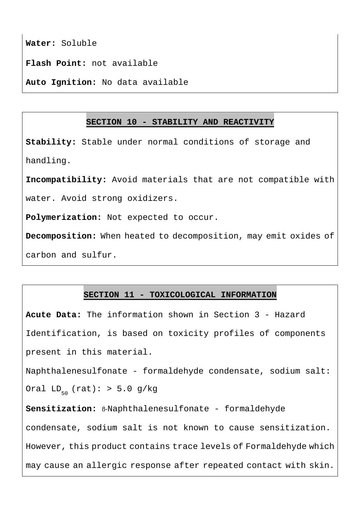**Water:** Soluble

**Flash Point:** not available

**Auto Ignition:** No data available

#### **SECTION 10 - STABILITY AND REACTIVITY**

**Stability:** Stable under normal conditions of storage and handling.

**Incompatibility:** Avoid materials that are not compatible with

water. Avoid strong oxidizers.

**Polymerization:** Not expected to occur.

**Decomposition:** When heated to decomposition, may emit oxides of carbon and sulfur.

## **SECTION 11 - TOXICOLOGICAL INFORMATION**

**Acute Data:** The information shown in Section 3 - Hazard Identification, is based on toxicity profiles of components present in this material.

Naphthalenesulfonate - formaldehyde condensate, sodium salt: Oral LD<sub>50</sub> (rat): > 5.0 g/kg

**Sensitization:** ß-Naphthalenesulfonate - formaldehyde condensate, sodium salt is not known to cause sensitization. However, this product contains trace levels of Formaldehyde which may cause an allergic response after repeated contact with skin.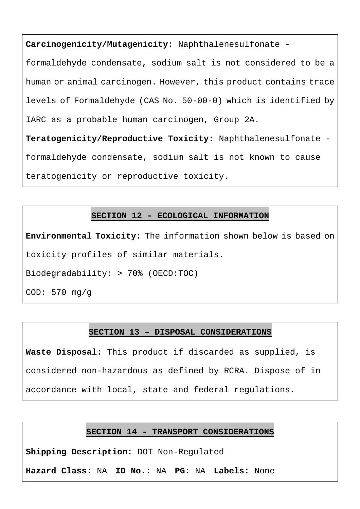**Carcinogenicity/Mutagenicity:** Naphthalenesulfonate -

formaldehyde condensate, sodium salt is not considered to be a human or animal carcinogen. However, this product contains trace levels of Formaldehyde (CAS No. 50-00-0) which is identified by IARC as a probable human carcinogen, Group 2A.

**Teratogenicity/Reproductive Toxicity:** Naphthalenesulfonate formaldehyde condensate, sodium salt is not known to cause teratogenicity or reproductive toxicity.

# **SECTION 12 - ECOLOGICAL INFORMATION**

**Environmental Toxicity:** The information shown below is based on toxicity profiles of similar materials.

Biodegradability: > 70% (OECD:TOC)

COD: 570 mg/g

# **SECTION 13 – DISPOSAL CONSIDERATIONS**

**Waste Disposal:** This product if discarded as supplied, is considered non-hazardous as defined by RCRA. Dispose of in accordance with local, state and federal regulations.

## **SECTION 14 - TRANSPORT CONSIDERATIONS**

**Shipping Description:** DOT Non-Regulated

**Hazard Class:** NA **ID No.:** NA **PG:** NA **Labels:** None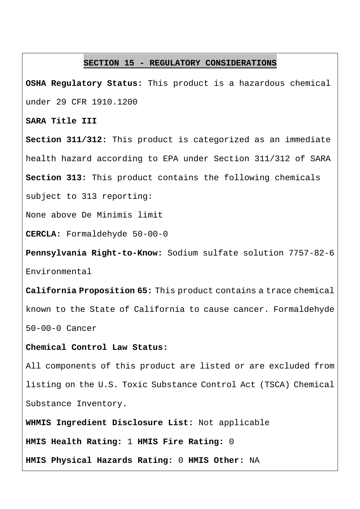#### **SECTION 15 - REGULATORY CONSIDERATIONS**

**OSHA Regulatory Status:** This product is a hazardous chemical under 29 CFR 1910.1200

#### **SARA Title III**

**Section 311/312:** This product is categorized as an immediate health hazard according to EPA under Section 311/312 of SARA

**Section 313:** This product contains the following chemicals

subject to 313 reporting:

None above De Minimis limit

**CERCLA:** Formaldehyde 50-00-0

**Pennsylvania Right-to-Know:** Sodium sulfate solution 7757-82-6 Environmental

**California Proposition 65:** This product contains a trace chemical known to the State of California to cause cancer. Formaldehyde 50-00-0 Cancer

## **Chemical Control Law Status:**

All components of this product are listed or are excluded from listing on the U.S. Toxic Substance Control Act (TSCA) Chemical Substance Inventory.

**WHMIS Ingredient Disclosure List:** Not applicable

**HMIS Health Rating:** 1 **HMIS Fire Rating:** 0

**HMIS Physical Hazards Rating:** 0 **HMIS Other:** NA